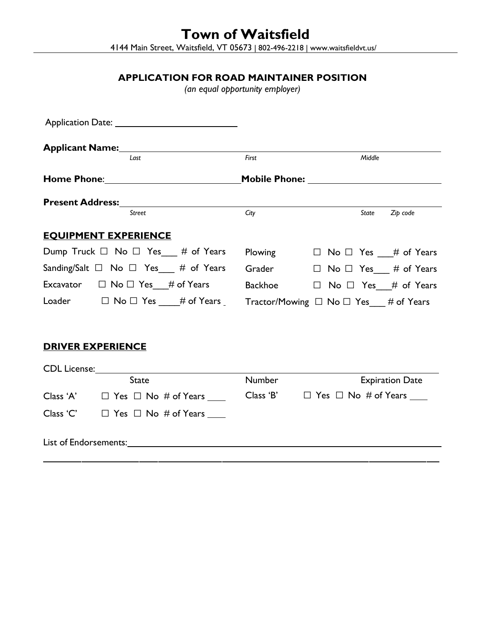**Town of Waitsfield** 4144 Main Street, Waitsfield, VT 05673 | 802-496-2218 | www.waitsfieldvt.us/

# **APPLICATION FOR ROAD MAINTAINER POSITION**

*(an equal opportunity employer)*

| Last                                                                                                                                                                                                                                | First<br>Middle                                                                               |
|-------------------------------------------------------------------------------------------------------------------------------------------------------------------------------------------------------------------------------------|-----------------------------------------------------------------------------------------------|
|                                                                                                                                                                                                                                     | <b>Mobile Phone:</b> Mobile Phone:                                                            |
| <b>Present Address:</b> The set of the set of the set of the set of the set of the set of the set of the set of the set of the set of the set of the set of the set of the set of the set of the set of the set of the set of the s |                                                                                               |
| Street                                                                                                                                                                                                                              | City<br>State<br>Zip code                                                                     |
| <b>EQUIPMENT EXPERIENCE</b>                                                                                                                                                                                                         |                                                                                               |
| Dump Truck $\Box$ No $\Box$ Yes $\Box$ # of Years                                                                                                                                                                                   | Plowing $\Box$ No $\Box$ Yes $\quad#$ of Years                                                |
| Sanding/Salt $\Box$ No $\Box$ Yes $\quad \#$ of Years                                                                                                                                                                               | Grader<br>$\Box$ No $\Box$ Yes # of Years                                                     |
|                                                                                                                                                                                                                                     | Excavator $\Box$ No $\Box$ Yes # of Years Backhoe $\Box$ No $\Box$ Yes # of Years             |
|                                                                                                                                                                                                                                     | Loader $\Box$ No $\Box$ Yes ___# of Years _ Tractor/Mowing $\Box$ No $\Box$ Yes ___# of Years |
|                                                                                                                                                                                                                                     |                                                                                               |
| <b>DRIVER EXPERIENCE</b>                                                                                                                                                                                                            |                                                                                               |
|                                                                                                                                                                                                                                     |                                                                                               |
| <b>State</b>                                                                                                                                                                                                                        | Number<br><b>Expiration Date</b>                                                              |
| Class 'A' $\Box$ Yes $\Box$ No # of Years ____                                                                                                                                                                                      | Class 'B' $\Box$ Yes $\Box$ No # of Years $\Box$                                              |
| Class 'C'<br>$\Box$ Yes $\Box$ No # of Years                                                                                                                                                                                        |                                                                                               |

List of Endorsements: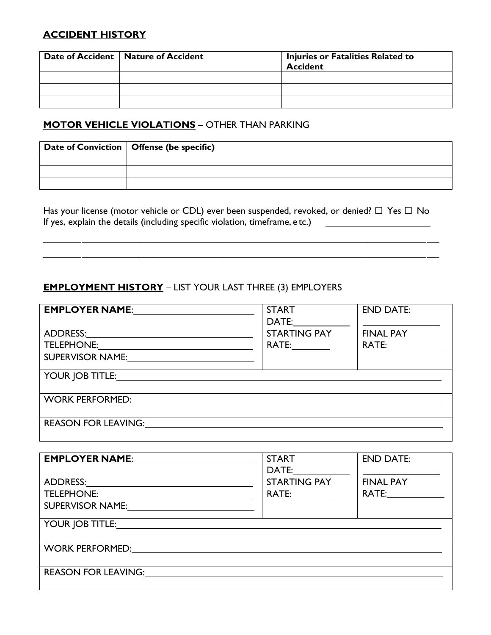### **ACCIDENT HISTORY**

| Date of Accident   Nature of Accident | Injuries or Fatalities Related to<br><b>Accident</b> |  |
|---------------------------------------|------------------------------------------------------|--|
|                                       |                                                      |  |
|                                       |                                                      |  |
|                                       |                                                      |  |

## **MOTOR VEHICLE VIOLATIONS** – OTHER THAN PARKING

| Date of Conviction $\vert$ Offense (be specific) |
|--------------------------------------------------|
|                                                  |
|                                                  |
|                                                  |

Has your license (motor vehicle or CDL) ever been suspended, revoked, or denied?  $\Box$  Yes  $\Box$  No If yes, explain the details (including specific violation, timeframe, e tc.)

## **EMPLOYMENT HISTORY** – LIST YOUR LAST THREE (3) EMPLOYERS

| EMPLOYER NAME: 2008                                                                                                                                                                                                            | <b>START</b><br>DATE: and the state of the state of the state of the state of the state of the state of the state of the state of the state of the state of the state of the state of the state of the state of the state of the state of the | <b>END DATE:</b>                                                                                                                                                                                                              |
|--------------------------------------------------------------------------------------------------------------------------------------------------------------------------------------------------------------------------------|-----------------------------------------------------------------------------------------------------------------------------------------------------------------------------------------------------------------------------------------------|-------------------------------------------------------------------------------------------------------------------------------------------------------------------------------------------------------------------------------|
|                                                                                                                                                                                                                                | <b>STARTING PAY</b>                                                                                                                                                                                                                           | <b>FINAL PAY</b>                                                                                                                                                                                                              |
|                                                                                                                                                                                                                                | <b>RATE:</b>                                                                                                                                                                                                                                  | RATE: and the state of the state of the state of the state of the state of the state of the state of the state of the state of the state of the state of the state of the state of the state of the state of the state of the |
| SUPERVISOR NAME: 2008                                                                                                                                                                                                          |                                                                                                                                                                                                                                               |                                                                                                                                                                                                                               |
| YOUR JOB TITLE: The Contract of the Contract of the Contract of the Contract of the Contract of the Contract of the Contract of the Contract of the Contract of the Contract of the Contract of the Contract of the Contract o |                                                                                                                                                                                                                                               |                                                                                                                                                                                                                               |
| WORK PERFORMED: WORK PERFORMED:                                                                                                                                                                                                |                                                                                                                                                                                                                                               |                                                                                                                                                                                                                               |
| <b>REASON FOR LEAVING:</b>                                                                                                                                                                                                     |                                                                                                                                                                                                                                               |                                                                                                                                                                                                                               |

| EMPLOYER NAME: The Manuscript of the Manuscript of The Manuscript of The Manuscript of The Manuscript of The Ma                                                                                                                                                | <b>START</b><br>DATE:                                                                                                                                                                                                                                 | <b>END DATE:</b>                                                                                                                                                                                                                                  |
|----------------------------------------------------------------------------------------------------------------------------------------------------------------------------------------------------------------------------------------------------------------|-------------------------------------------------------------------------------------------------------------------------------------------------------------------------------------------------------------------------------------------------------|---------------------------------------------------------------------------------------------------------------------------------------------------------------------------------------------------------------------------------------------------|
|                                                                                                                                                                                                                                                                | <b>STARTING PAY</b><br>RATE: and the same of the same of the same of the same of the same of the same of the same of the same of the same of the same of the same of the same of the same of the same of the same of the same of the same of the same | <b>FINAL PAY</b><br>RATE: and the state of the state of the state of the state of the state of the state of the state of the state of the state of the state of the state of the state of the state of the state of the state of the state of the |
|                                                                                                                                                                                                                                                                |                                                                                                                                                                                                                                                       |                                                                                                                                                                                                                                                   |
| <b>WORK PERFORMED:</b><br><u>a sa barang sa mga sangang ng mga sangang ng mga sangang ng mga sangang ng mga sangang ng mga sangang ng mga sangang ng mga sangang ng mga sangang ng mga sangang ng mga sangang ng mga sangang ng mga sangang ng mga sangang</u> |                                                                                                                                                                                                                                                       |                                                                                                                                                                                                                                                   |
| <b>REASON FOR LEAVING:</b>                                                                                                                                                                                                                                     |                                                                                                                                                                                                                                                       |                                                                                                                                                                                                                                                   |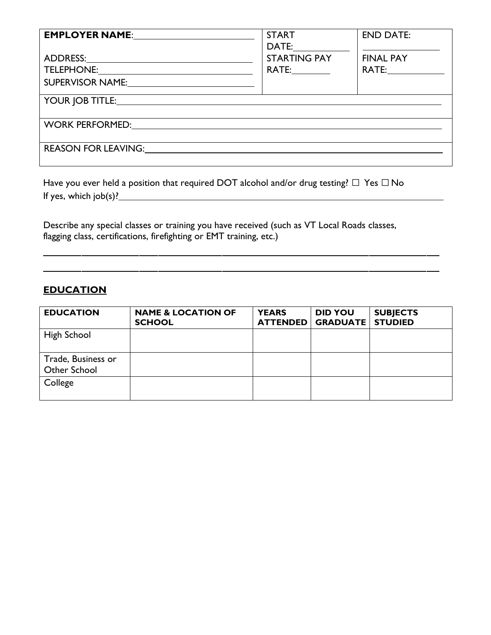| EMPLOYER NAME: 2008 2010 2020                                                                                                                                                                                                  | <b>START</b><br>DATE: and the state of the state of the state of the state of the state of the state of the state of the state of the state of the state of the state of the state of the state of the state of the state of the state of the | <b>END DATE:</b>                       |
|--------------------------------------------------------------------------------------------------------------------------------------------------------------------------------------------------------------------------------|-----------------------------------------------------------------------------------------------------------------------------------------------------------------------------------------------------------------------------------------------|----------------------------------------|
| SUPERVISOR NAME:______________________________                                                                                                                                                                                 | <b>STARTING PAY</b><br>RATE:_________                                                                                                                                                                                                         | <b>FINAL PAY</b><br>RATE:_____________ |
| YOUR JOB TITLE: THE SERVICE OF THE SERVICE OF THE SERVICE OF THE SERVICE OF THE SERVICE OF THE SERVICE OF THE SERVICE OF THE SERVICE OF THE SERVICE OF THE SERVICE OF THE SERVICE OF THE SERVICE OF THE SERVICE OF THE SERVICE |                                                                                                                                                                                                                                               |                                        |
| WORK PERFORMED: VORTELLER CONTROL CONTROL CONTROL CONTROL CONTROL CONTROL CONTROL CONTROL CONTROL CONTROL CONTROL CONTROL CONTROL CONTROL CONTROL CONTROL CONTROL CONTROL CONTROL CONTROL CONTROL CONTROL CONTROL CONTROL CONT |                                                                                                                                                                                                                                               |                                        |
| <b>REASON FOR LEAVING:</b>                                                                                                                                                                                                     |                                                                                                                                                                                                                                               |                                        |

Have you ever held a position that required DOT alcohol and/or drug testing?  $\Box$  Yes  $\Box$  No If yes, which job(s)?

Describe any special classes or training you have received (such as VT Local Roads classes, flagging class, certifications, firefighting or EMT training, etc.)

#### **EDUCATION**

| <b>EDUCATION</b>                   | <b>NAME &amp; LOCATION OF</b><br><b>SCHOOL</b> | <b>YEARS</b><br><b>ATTENDED</b> | <b>DID YOU</b><br><b>GRADUATE</b> | <b>SUBJECTS</b><br><b>STUDIED</b> |
|------------------------------------|------------------------------------------------|---------------------------------|-----------------------------------|-----------------------------------|
| High School                        |                                                |                                 |                                   |                                   |
| Trade, Business or<br>Other School |                                                |                                 |                                   |                                   |
| College                            |                                                |                                 |                                   |                                   |